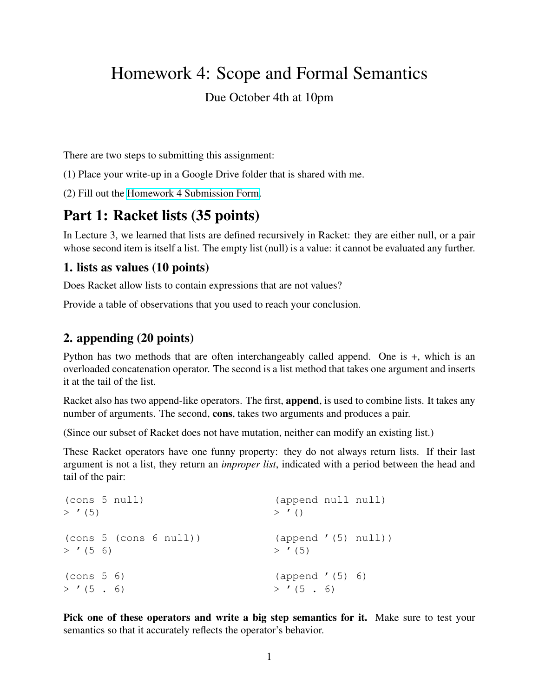# Homework 4: Scope and Formal Semantics

#### Due October 4th at 10pm

There are two steps to submitting this assignment:

(1) Place your write-up in a Google Drive folder that is shared with me.

(2) Fill out the [Homework 4 Submission Form.](https://forms.gle/XJmWP9nKqFsSneyZ6)

# Part 1: Racket lists (35 points)

In Lecture 3, we learned that lists are defined recursively in Racket: they are either null, or a pair whose second item is itself a list. The empty list (null) is a value: it cannot be evaluated any further.

#### 1. lists as values (10 points)

Does Racket allow lists to contain expressions that are not values?

Provide a table of observations that you used to reach your conclusion.

#### 2. appending (20 points)

Python has two methods that are often interchangeably called append. One is +, which is an overloaded concatenation operator. The second is a list method that takes one argument and inserts it at the tail of the list.

Racket also has two append-like operators. The first, **append**, is used to combine lists. It takes any number of arguments. The second, cons, takes two arguments and produces a pair.

(Since our subset of Racket does not have mutation, neither can modify an existing list.)

These Racket operators have one funny property: they do not always return lists. If their last argument is not a list, they return an *improper list*, indicated with a period between the head and tail of the pair:

```
(cons 5 null)
> '(5)
(cons 5 (cons 6 null))
> '(5 6)
(cons 5 6)
> '(5.6)
                                  (append null null)
                                  > '()(append '(5) null))
                                  > ' (5)(append '(5) 6)
                                  > '(5, 6)
```
Pick one of these operators and write a big step semantics for it. Make sure to test your semantics so that it accurately reflects the operator's behavior.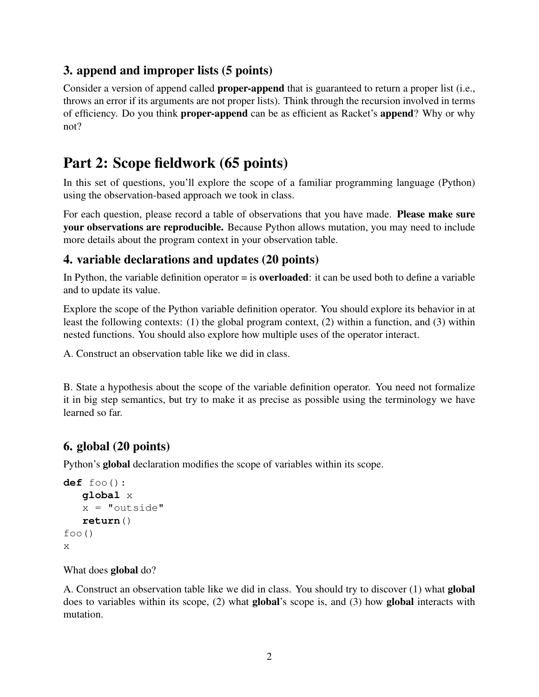## 3. append and improper lists (5 points)

Consider a version of append called **proper-append** that is guaranteed to return a proper list (i.e., throws an error if its arguments are not proper lists). Think through the recursion involved in terms of efficiency. Do you think proper-append can be as efficient as Racket's append? Why or why not?

# Part 2: Scope fieldwork (65 points)

In this set of questions, you'll explore the scope of a familiar programming language (Python) using the observation-based approach we took in class.

For each question, please record a table of observations that you have made. **Please make sure** your observations are reproducible. Because Python allows mutation, you may need to include more details about the program context in your observation table.

## 4. variable declarations and updates (20 points)

In Python, the variable definition operator  $=$  is **overloaded**: it can be used both to define a variable and to update its value.

Explore the scope of the Python variable definition operator. You should explore its behavior in at least the following contexts: (1) the global program context, (2) within a function, and (3) within nested functions. You should also explore how multiple uses of the operator interact.

A. Construct an observation table like we did in class.

B. State a hypothesis about the scope of the variable definition operator. You need not formalize it in big step semantics, but try to make it as precise as possible using the terminology we have learned so far.

## 6. global (20 points)

Python's global declaration modifies the scope of variables within its scope.

```
def foo():
   global x
   x = "outside"return()
foo()
x
```
What does **global** do?

A. Construct an observation table like we did in class. You should try to discover (1) what global does to variables within its scope, (2) what global's scope is, and (3) how global interacts with mutation.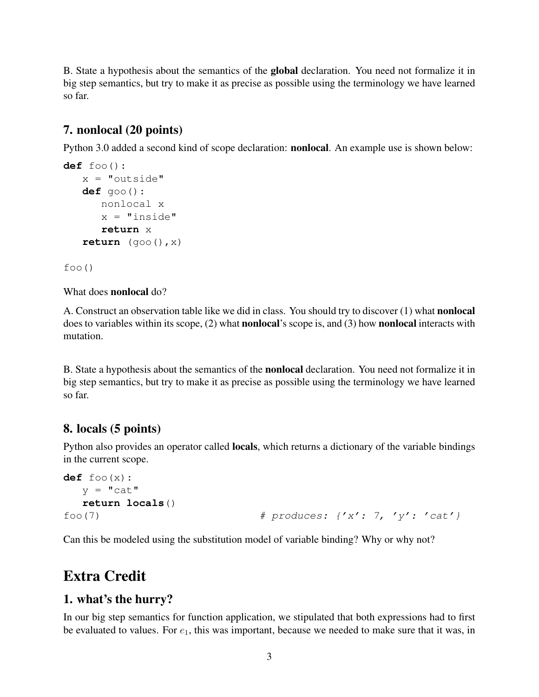B. State a hypothesis about the semantics of the global declaration. You need not formalize it in big step semantics, but try to make it as precise as possible using the terminology we have learned so far.

### 7. nonlocal (20 points)

Python 3.0 added a second kind of scope declaration: nonlocal. An example use is shown below:

```
def foo():
  x = "outside"def goo():
      nonlocal x
      x = "inside"return x
   return (goo(),x)
```
foo()

What does nonlocal do?

A. Construct an observation table like we did in class. You should try to discover (1) what nonlocal does to variables within its scope, (2) what **nonlocal**'s scope is, and (3) how **nonlocal** interacts with mutation.

B. State a hypothesis about the semantics of the nonlocal declaration. You need not formalize it in big step semantics, but try to make it as precise as possible using the terminology we have learned so far.

#### 8. locals (5 points)

Python also provides an operator called locals, which returns a dictionary of the variable bindings in the current scope.

```
def foo(x):
  v = "cat"return locals()
foo(7) \# produces: \{x': 7, 'y': 'cat'\}
```
Can this be modeled using the substitution model of variable binding? Why or why not?

# Extra Credit

#### 1. what's the hurry?

In our big step semantics for function application, we stipulated that both expressions had to first be evaluated to values. For  $e_1$ , this was important, because we needed to make sure that it was, in